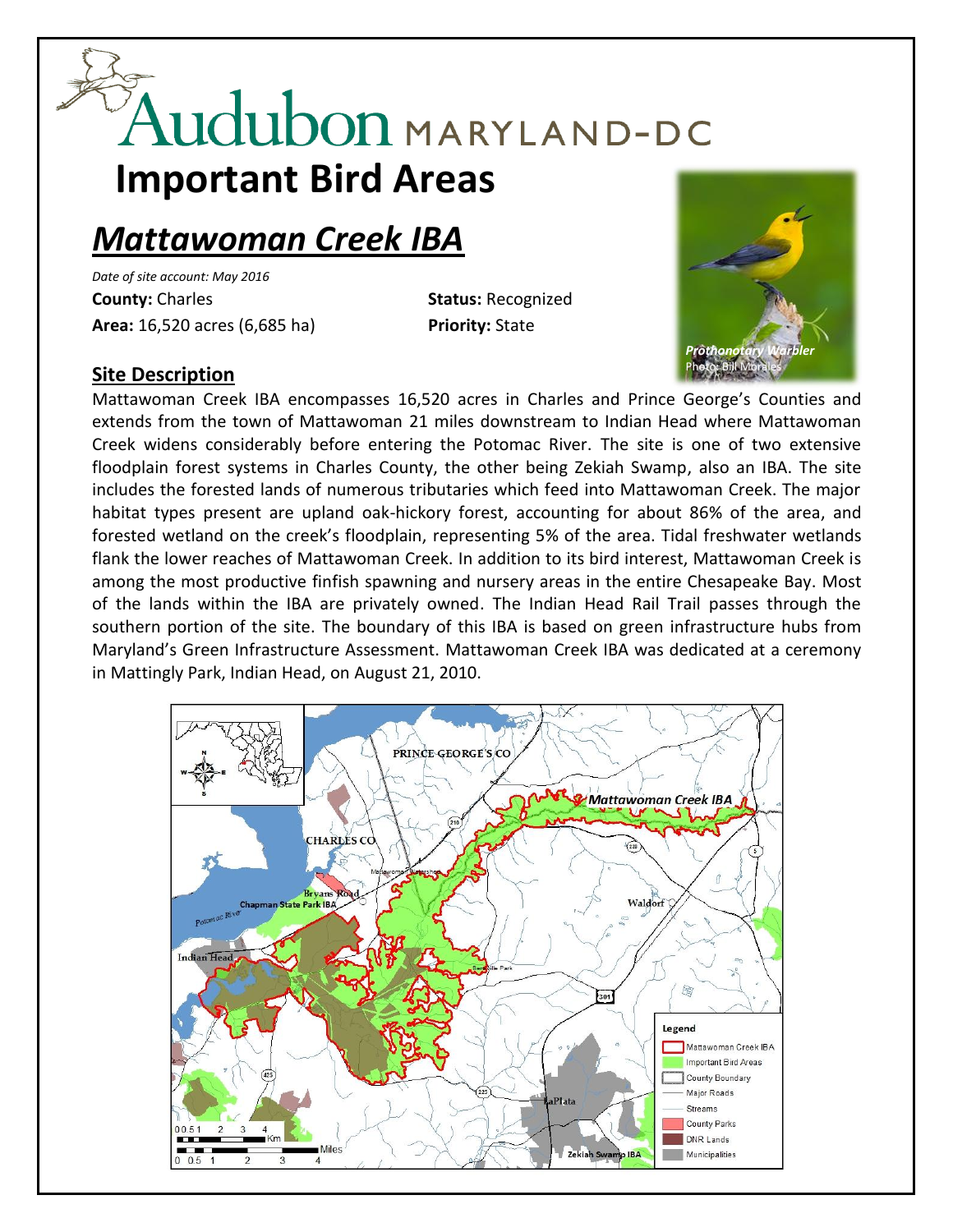# Audubon MARYLAND-DC **Important Bird Areas**

## *Mattawoman Creek IBA*

*Date of site account: May 2016* **County:** Charles **Status:** Recognized **Area:** 16,520 acres (6,685 ha) **Priority:** State



#### **Site Description**

Mattawoman Creek IBA encompasses 16,520 acres in Charles and Prince George's Counties and extends from the town of Mattawoman 21 miles downstream to Indian Head where Mattawoman Creek widens considerably before entering the Potomac River. The site is one of two extensive floodplain forest systems in Charles County, the other being Zekiah Swamp, also an IBA. The site includes the forested lands of numerous tributaries which feed into Mattawoman Creek. The major habitat types present are upland oak-hickory forest, accounting for about 86% of the area, and forested wetland on the creek's floodplain, representing 5% of the area. Tidal freshwater wetlands flank the lower reaches of Mattawoman Creek. In addition to its bird interest, Mattawoman Creek is among the most productive finfish spawning and nursery areas in the entire Chesapeake Bay. Most of the lands within the IBA are privately owned. The Indian Head Rail Trail passes through the southern portion of the site. The boundary of this IBA is based on green infrastructure hubs from Maryland's Green Infrastructure Assessment. Mattawoman Creek IBA was dedicated at a ceremony in Mattingly Park, Indian Head, on August 21, 2010.

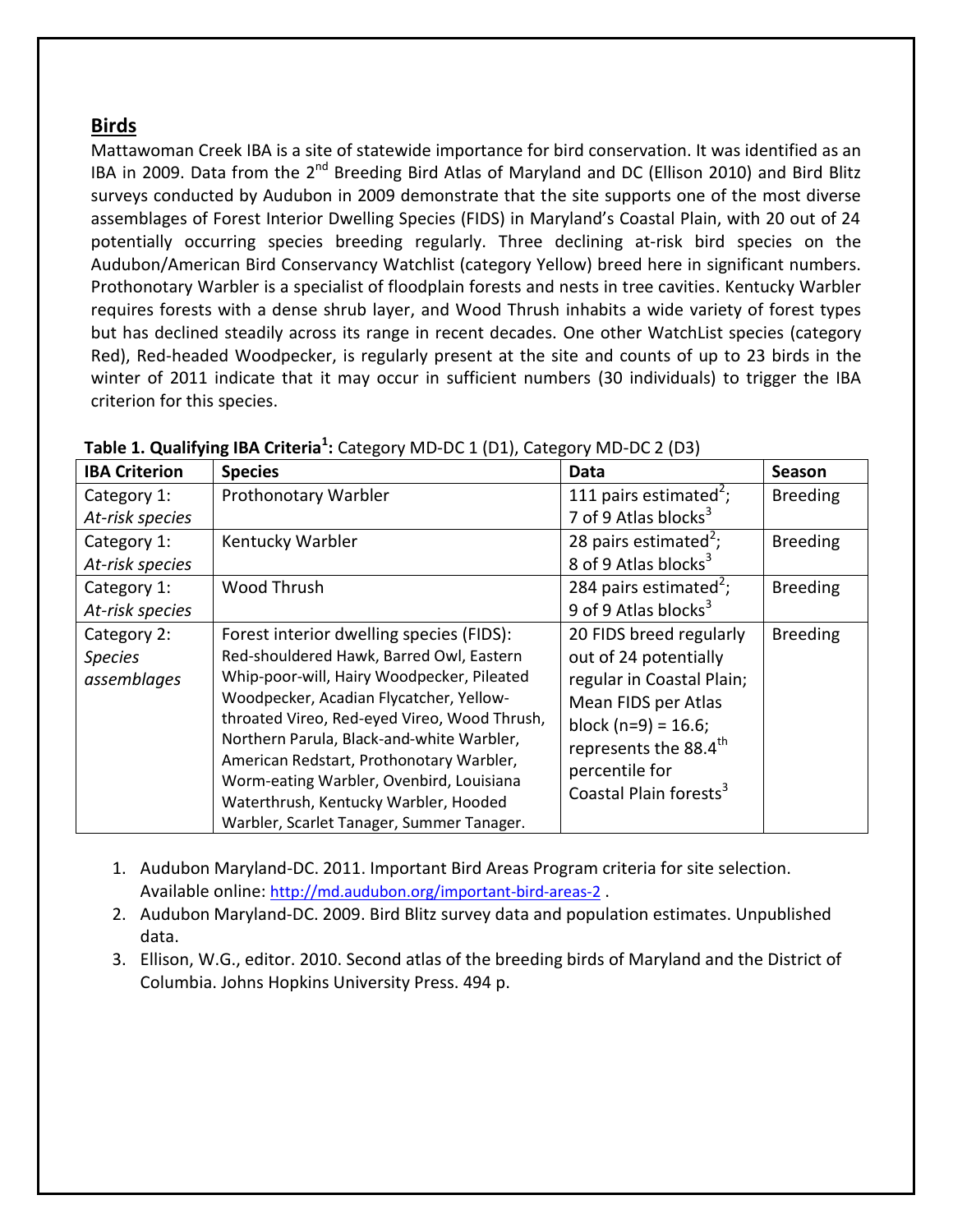#### **Birds**

Mattawoman Creek IBA is a site of statewide importance for bird conservation. It was identified as an IBA in 2009. Data from the 2<sup>nd</sup> Breeding Bird Atlas of Maryland and DC (Ellison 2010) and Bird Blitz surveys conducted by Audubon in 2009 demonstrate that the site supports one of the most diverse assemblages of Forest Interior Dwelling Species (FIDS) in Maryland's Coastal Plain, with 20 out of 24 potentially occurring species breeding regularly. Three declining at-risk bird species on the Audubon/American Bird Conservancy Watchlist (category Yellow) breed here in significant numbers. Prothonotary Warbler is a specialist of floodplain forests and nests in tree cavities. Kentucky Warbler requires forests with a dense shrub layer, and Wood Thrush inhabits a wide variety of forest types but has declined steadily across its range in recent decades. One other WatchList species (category Red), Red-headed Woodpecker, is regularly present at the site and counts of up to 23 birds in the winter of 2011 indicate that it may occur in sufficient numbers (30 individuals) to trigger the IBA criterion for this species.

| <b>IBA Criterion</b> | <b>Species</b>                                                                                                                                                                   | Data                                                                          | Season          |
|----------------------|----------------------------------------------------------------------------------------------------------------------------------------------------------------------------------|-------------------------------------------------------------------------------|-----------------|
| Category 1:          | Prothonotary Warbler                                                                                                                                                             | 111 pairs estimated <sup>2</sup> ;                                            | <b>Breeding</b> |
| At-risk species      |                                                                                                                                                                                  | 7 of 9 Atlas blocks <sup>3</sup>                                              |                 |
| Category 1:          | Kentucky Warbler                                                                                                                                                                 | 28 pairs estimated <sup>2</sup> ;<br><b>Breeding</b>                          |                 |
| At-risk species      |                                                                                                                                                                                  | 8 of 9 Atlas blocks <sup>3</sup>                                              |                 |
| Category 1:          | Wood Thrush                                                                                                                                                                      | 284 pairs estimated <sup>2</sup> ;                                            | <b>Breeding</b> |
| At-risk species      |                                                                                                                                                                                  | 9 of 9 Atlas blocks <sup>3</sup>                                              |                 |
| Category 2:          | Forest interior dwelling species (FIDS):                                                                                                                                         | 20 FIDS breed regularly                                                       | <b>Breeding</b> |
| <b>Species</b>       | Red-shouldered Hawk, Barred Owl, Eastern                                                                                                                                         | out of 24 potentially                                                         |                 |
| assemblages          | Whip-poor-will, Hairy Woodpecker, Pileated                                                                                                                                       | regular in Coastal Plain;                                                     |                 |
|                      | Woodpecker, Acadian Flycatcher, Yellow-<br>throated Vireo, Red-eyed Vireo, Wood Thrush,<br>Northern Parula, Black-and-white Warbler,<br>American Redstart, Prothonotary Warbler, | Mean FIDS per Atlas                                                           |                 |
|                      |                                                                                                                                                                                  | block $(n=9) = 16.6$ ;<br>represents the 88.4 <sup>th</sup><br>percentile for |                 |
|                      |                                                                                                                                                                                  |                                                                               |                 |
|                      |                                                                                                                                                                                  |                                                                               |                 |
|                      | Worm-eating Warbler, Ovenbird, Louisiana                                                                                                                                         | Coastal Plain forests <sup>3</sup>                                            |                 |
|                      | Waterthrush, Kentucky Warbler, Hooded                                                                                                                                            |                                                                               |                 |
|                      | Warbler, Scarlet Tanager, Summer Tanager.                                                                                                                                        |                                                                               |                 |

| Table 1. Qualifying IBA Criteria <sup>1</sup> : Category MD-DC 1 (D1), Category MD-DC 2 (D3) |  |  |
|----------------------------------------------------------------------------------------------|--|--|
|----------------------------------------------------------------------------------------------|--|--|

- 1. Audubon Maryland-DC. 2011. Important Bird Areas Program criteria for site selection. Available online: <http://md.audubon.org/important-bird-areas-2>.
- 2. Audubon Maryland-DC. 2009. Bird Blitz survey data and population estimates. Unpublished data.
- 3. Ellison, W.G., editor. 2010. Second atlas of the breeding birds of Maryland and the District of Columbia. Johns Hopkins University Press. 494 p.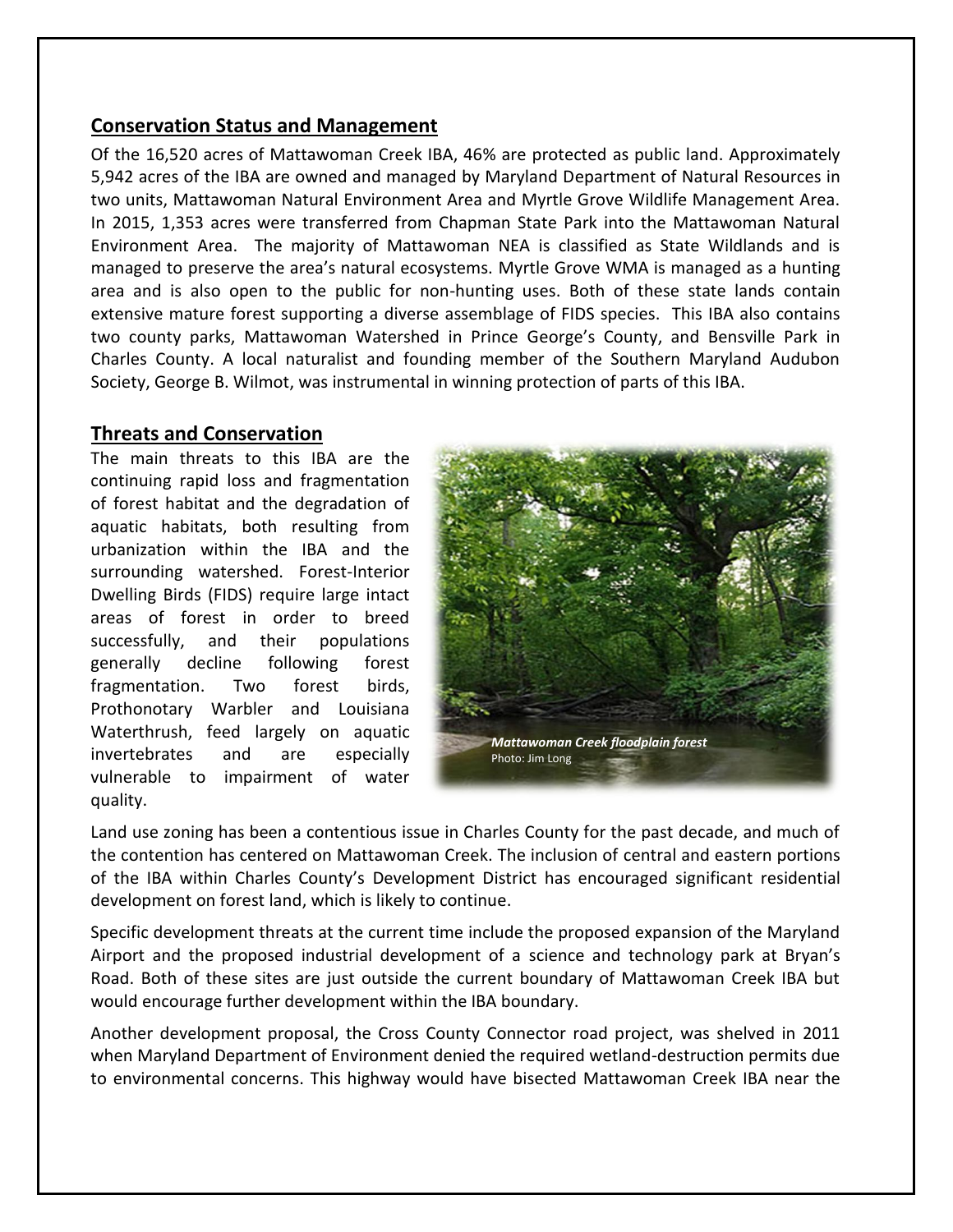#### **Conservation Status and Management**

Of the 16,520 acres of Mattawoman Creek IBA, 46% are protected as public land. Approximately 5,942 acres of the IBA are owned and managed by Maryland Department of Natural Resources in two units, Mattawoman Natural Environment Area and Myrtle Grove Wildlife Management Area. In 2015, 1,353 acres were transferred from Chapman State Park into the Mattawoman Natural Environment Area. The majority of Mattawoman NEA is classified as State Wildlands and is managed to preserve the area's natural ecosystems. Myrtle Grove WMA is managed as a hunting area and is also open to the public for non-hunting uses. Both of these state lands contain extensive mature forest supporting a diverse assemblage of FIDS species. This IBA also contains two county parks, Mattawoman Watershed in Prince George's County, and Bensville Park in Charles County. A local naturalist and founding member of the Southern Maryland Audubon Society, George B. Wilmot, was instrumental in winning protection of parts of this IBA.

#### **Threats and Conservation**

The main threats to this IBA are the continuing rapid loss and fragmentation of forest habitat and the degradation of aquatic habitats, both resulting from urbanization within the IBA and the surrounding watershed. Forest-Interior Dwelling Birds (FIDS) require large intact areas of forest in order to breed successfully, and their populations generally decline following forest fragmentation. Two forest birds, Prothonotary Warbler and Louisiana Waterthrush, feed largely on aquatic invertebrates and are especially vulnerable to impairment of water quality.



Land use zoning has been a contentious issue in Charles County for the past decade, and much of the contention has centered on Mattawoman Creek. The inclusion of central and eastern portions of the IBA within Charles County's Development District has encouraged significant residential development on forest land, which is likely to continue.

Specific development threats at the current time include the proposed expansion of the Maryland Airport and the proposed industrial development of a science and technology park at Bryan's Road. Both of these sites are just outside the current boundary of Mattawoman Creek IBA but would encourage further development within the IBA boundary.

Another development proposal, the Cross County Connector road project, was shelved in 2011 when Maryland Department of Environment denied the required wetland-destruction permits due to environmental concerns. This highway would have bisected Mattawoman Creek IBA near the